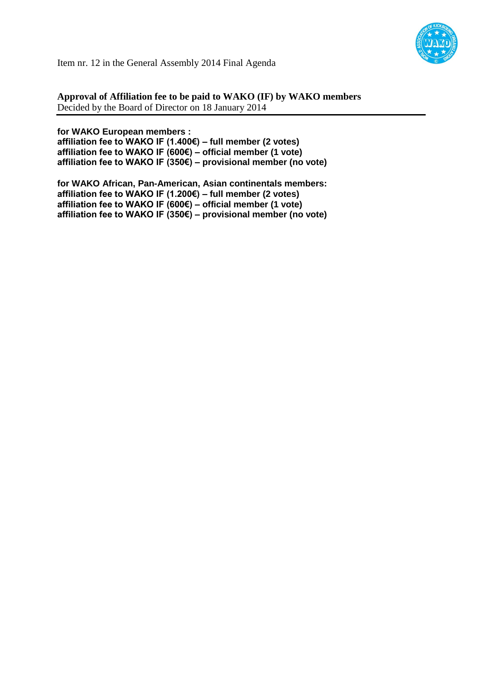

Item nr. 12 in the General Assembly 2014 Final Agenda

**Approval of Affiliation fee to be paid to WAKO (IF) by WAKO members** Decided by the Board of Director on 18 January 2014

#### **for WAKO European members :**

**affiliation fee to WAKO IF (1.400€) – full member (2 votes) affiliation fee to WAKO IF (600€) – official member (1 vote) affiliation fee to WAKO IF (350€) – provisional member (no vote)**

**for WAKO African, Pan-American, Asian continentals members: affiliation fee to WAKO IF (1.200€) – full member (2 votes) affiliation fee to WAKO IF (600€) – official member (1 vote) affiliation fee to WAKO IF (350€) – provisional member (no vote)**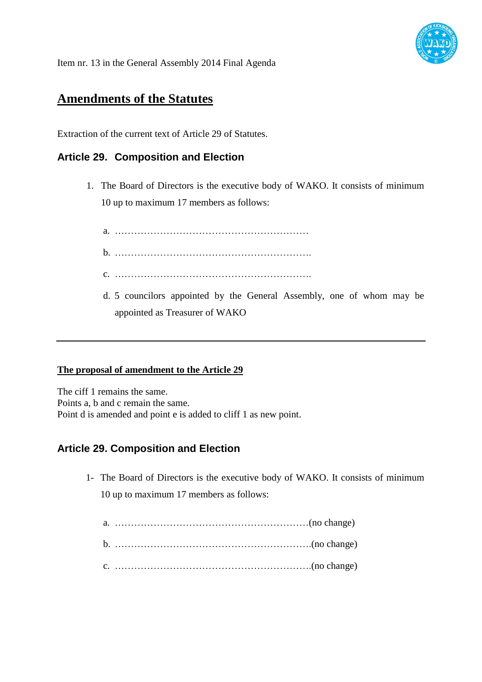

Item nr. 13 in the General Assembly 2014 Final Agenda

# **Amendments of the Statutes**

Extraction of the current text of Article 29 of Statutes.

## **Article 29. Composition and Election**

- 1. The Board of Directors is the executive body of WAKO. It consists of minimum 10 up to maximum 17 members as follows:
	- a. …………………………………………………… b. …………………………………………………….
	- c. …………………………………………………….
	- d. 5 councilors appointed by the General Assembly, one of whom may be appointed as Treasurer of WAKO

#### **The proposal of amendment to the Article 29**

The ciff 1 remains the same. Points a, b and c remain the same. Point d is amended and point e is added to cliff 1 as new point.

### **Article 29. Composition and Election**

1- The Board of Directors is the executive body of WAKO. It consists of minimum 10 up to maximum 17 members as follows: